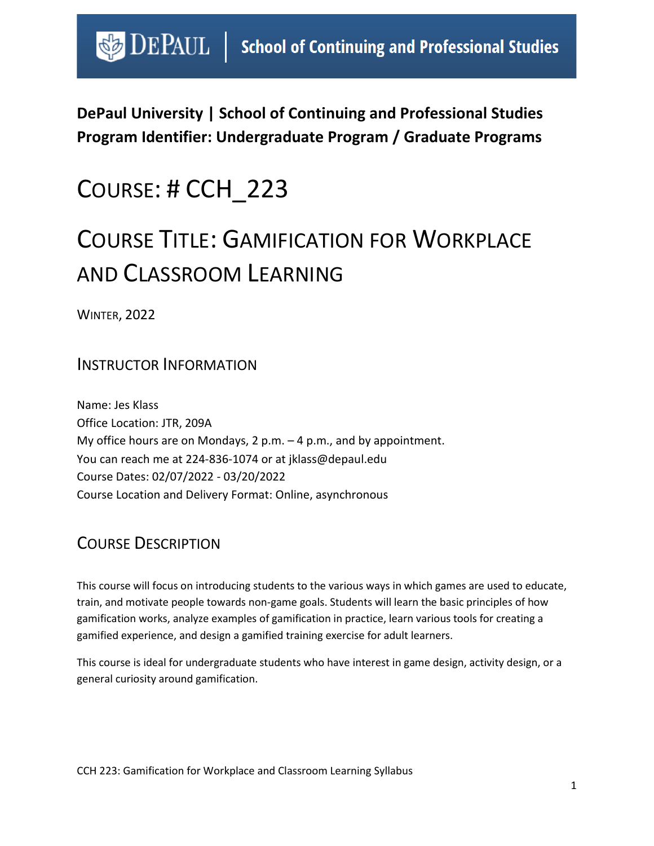# $\bigcirc$  DEPAUL | School of Continuing and Professional Studies

**DePaul University | School of Continuing and Professional Studies Program Identifier: Undergraduate Program / Graduate Programs** 

# COURSE: # CCH\_223

# COURSE TITLE: GAMIFICATION FOR WORKPLACE AND CLASSROOM LEARNING

WINTER, 2022

## INSTRUCTOR INFORMATION

Name: Jes Klass Office Location: JTR, 209A My office hours are on Mondays, 2 p.m. – 4 p.m., and by appointment. You can reach me at 224-836-1074 or at jklass@depaul.edu Course Dates: 02/07/2022 - 03/20/2022 Course Location and Delivery Format: Online, asynchronous

# COURSE DESCRIPTION

This course will focus on introducing students to the various ways in which games are used to educate, train, and motivate people towards non-game goals. Students will learn the basic principles of how gamification works, analyze examples of gamification in practice, learn various tools for creating a gamified experience, and design a gamified training exercise for adult learners.

This course is ideal for undergraduate students who have interest in game design, activity design, or a general curiosity around gamification.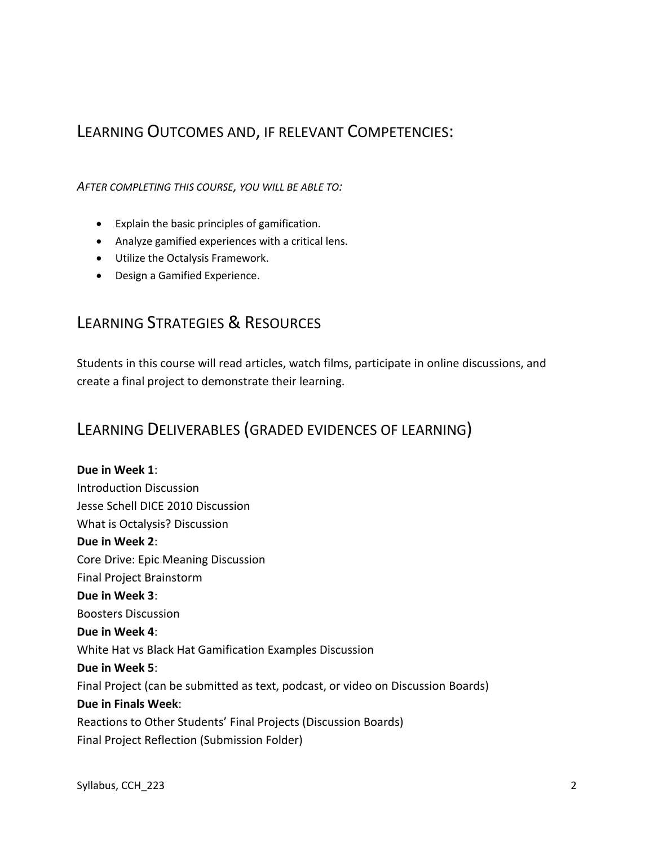### LEARNING OUTCOMES AND, IF RELEVANT COMPETENCIES:

*AFTER COMPLETING THIS COURSE, YOU WILL BE ABLE TO:*

- Explain the basic principles of gamification.
- Analyze gamified experiences with a critical lens.
- Utilize the Octalysis Framework.
- Design a Gamified Experience.

## LEARNING STRATEGIES & RESOURCES

Students in this course will read articles, watch films, participate in online discussions, and create a final project to demonstrate their learning.

### LEARNING DELIVERABLES (GRADED EVIDENCES OF LEARNING)

**Due in Week 1**: Introduction Discussion Jesse Schell DICE 2010 Discussion What is Octalysis? Discussion **Due in Week 2**: Core Drive: Epic Meaning Discussion Final Project Brainstorm **Due in Week 3**: Boosters Discussion **Due in Week 4**: White Hat vs Black Hat Gamification Examples Discussion **Due in Week 5**: Final Project (can be submitted as text, podcast, or video on Discussion Boards) **Due in Finals Week**: Reactions to Other Students' Final Projects (Discussion Boards) Final Project Reflection (Submission Folder)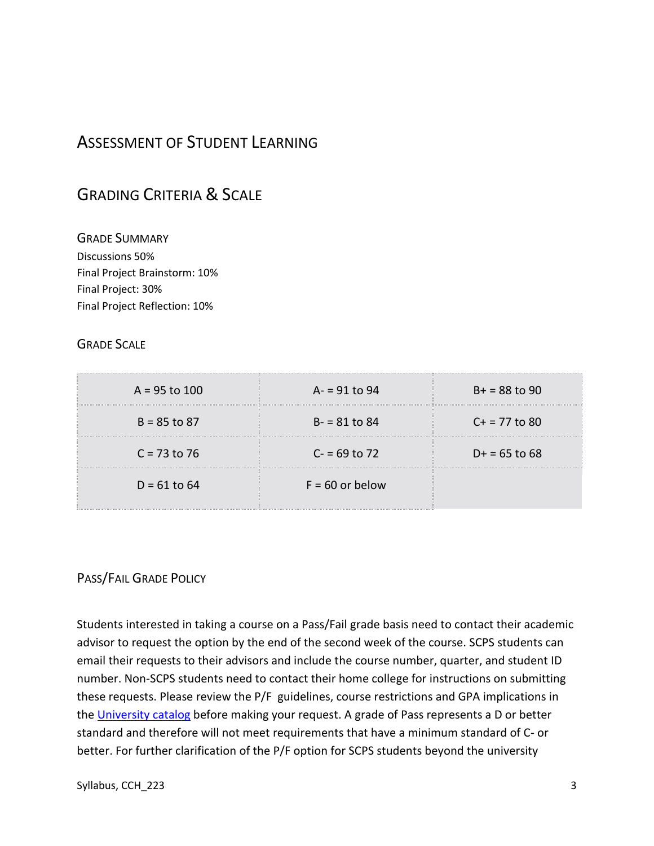## ASSESSMENT OF STUDENT LEARNING

## GRADING CRITERIA & SCALE

GRADE SUMMARY Discussions 50% Final Project Brainstorm: 10% Final Project: 30% Final Project Reflection: 10%

#### GRADE SCALE

| $A = 95$ to 100 | $A = 91$ to 94    | $B+ = 88$ to 90 |
|-----------------|-------------------|-----------------|
| $B = 85$ to 87  | $B - 81$ to 84    | $C + 77$ to 80  |
| $C = 73$ to 76  | $C = 69$ to 72    | $D+ = 65$ to 68 |
| $D = 61$ to 64  | $F = 60$ or below |                 |

#### PASS/FAIL GRADE POLICY

Students interested in taking a course on a Pass/Fail grade basis need to contact their academic advisor to request the option by the end of the second week of the course. SCPS students can email their requests to their advisors and include the course number, quarter, and student ID number. Non-SCPS students need to contact their home college for instructions on submitting these requests. Please review the P/F guidelines, course restrictions and GPA implications in the [University catalog](https://catalog.depaul.edu/student-handbooks/undergraduate/undergraduate-academic-policies/grades-pass-fail/) before making your request. A grade of Pass represents a D or better standard and therefore will not meet requirements that have a minimum standard of C- or better. For further clarification of the P/F option for SCPS students beyond the university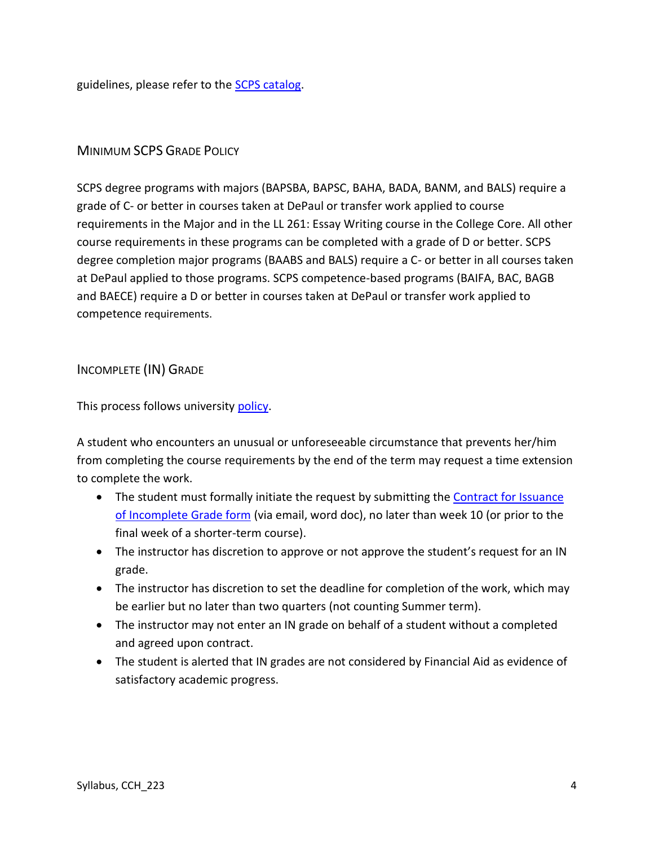guidelines, please refer to the [SCPS catalog.](https://catalog.depaul.edu/colleges-schools/continuing-professional-studies/)

#### MINIMUM SCPS GRADE POLICY

SCPS degree programs with majors (BAPSBA, BAPSC, BAHA, BADA, BANM, and BALS) require a grade of C- or better in courses taken at DePaul or transfer work applied to course requirements in the Major and in the LL 261: Essay Writing course in the College Core. All other course requirements in these programs can be completed with a grade of D or better. SCPS degree completion major programs (BAABS and BALS) require a C- or better in all courses taken at DePaul applied to those programs. SCPS competence-based programs (BAIFA, BAC, BAGB and BAECE) require a D or better in courses taken at DePaul or transfer work applied to competence requirements.

#### INCOMPLETE (IN) GRADE

This process follows university [policy.](https://catalog.depaul.edu/student-handbooks/undergraduate/undergraduate-academic-policies/grades-incomplete-and-research-expiration-policy/)

A student who encounters an unusual or unforeseeable circumstance that prevents her/him from completing the course requirements by the end of the term may request a time extension to complete the work.

- The student must formally initiate the request by submitting the **Contract for Issuance** [of Incomplete Grade form](https://scps.depaul.edu/student-resources/undergraduate-resources/Documents/Incomplete%20Grade%20Contract.pdf) (via email, word doc), no later than week 10 (or prior to the final week of a shorter-term course).
- The instructor has discretion to approve or not approve the student's request for an IN grade.
- The instructor has discretion to set the deadline for completion of the work, which may be earlier but no later than two quarters (not counting Summer term).
- The instructor may not enter an IN grade on behalf of a student without a completed and agreed upon contract.
- The student is alerted that IN grades are not considered by Financial Aid as evidence of satisfactory academic progress.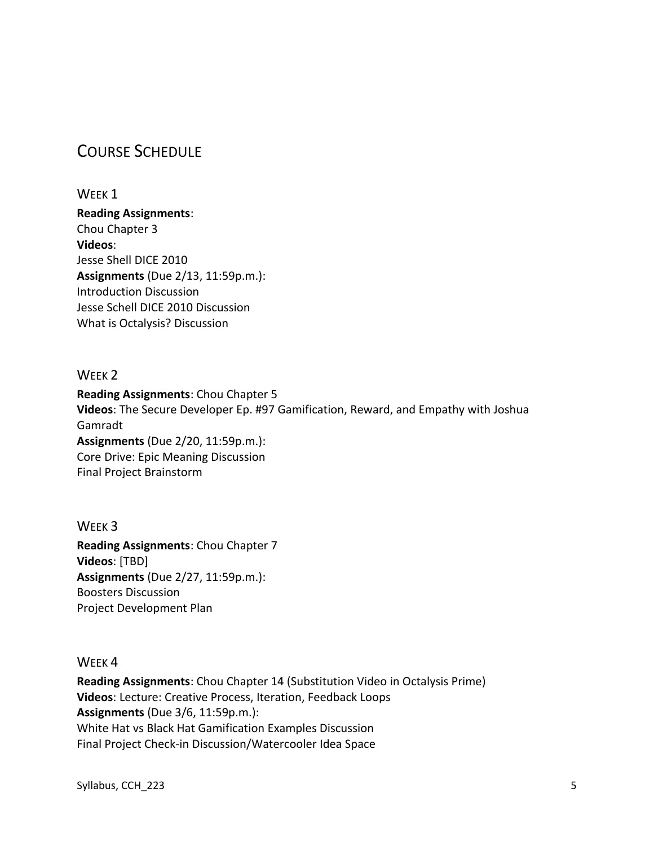## COURSE SCHEDULE

#### WEEK<sub>1</sub>

**Reading Assignments**: Chou Chapter 3 **Videos**: Jesse Shell DICE 2010 **Assignments** (Due 2/13, 11:59p.m.): Introduction Discussion Jesse Schell DICE 2010 Discussion What is Octalysis? Discussion

#### WEEK<sub>2</sub>

**Reading Assignments**: Chou Chapter 5 **Videos**: The Secure Developer Ep. #97 Gamification, Reward, and Empathy with Joshua Gamradt **Assignments** (Due 2/20, 11:59p.m.): Core Drive: Epic Meaning Discussion Final Project Brainstorm

WEEK 3 **Reading Assignments**: Chou Chapter 7 **Videos**: [TBD] **Assignments** (Due 2/27, 11:59p.m.): Boosters Discussion Project Development Plan

WEEK 4

**Reading Assignments**: Chou Chapter 14 (Substitution Video in Octalysis Prime) **Videos**: Lecture: Creative Process, Iteration, Feedback Loops **Assignments** (Due 3/6, 11:59p.m.): White Hat vs Black Hat Gamification Examples Discussion Final Project Check-in Discussion/Watercooler Idea Space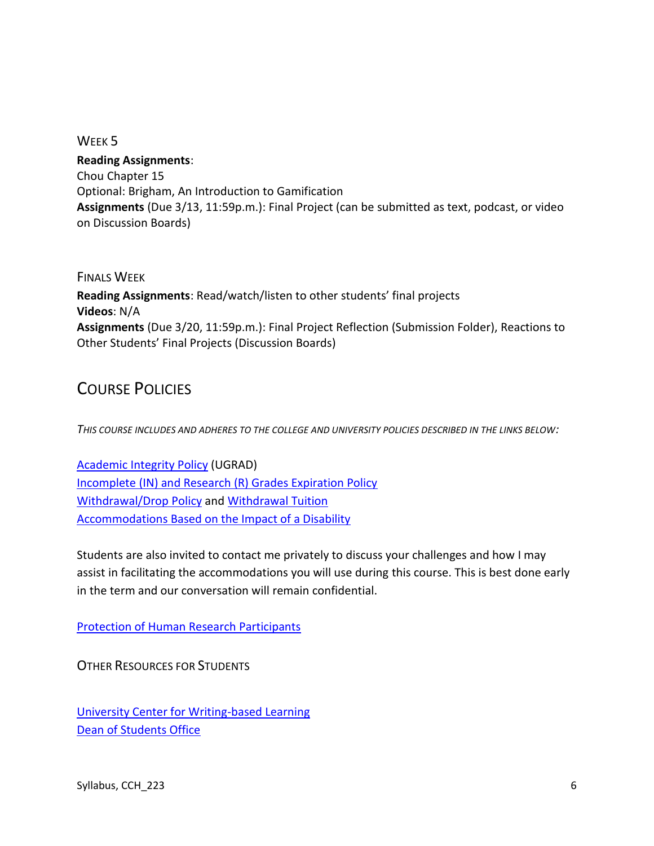#### WEEK 5

**Reading Assignments**: Chou Chapter 15 Optional: Brigham, An Introduction to Gamification **Assignments** (Due 3/13, 11:59p.m.): Final Project (can be submitted as text, podcast, or video on Discussion Boards)

FINALS WEEK **Reading Assignments**: Read/watch/listen to other students' final projects **Videos**: N/A **Assignments** (Due 3/20, 11:59p.m.): Final Project Reflection (Submission Folder), Reactions to Other Students' Final Projects (Discussion Boards)

## COURSE POLICIES

*THIS COURSE INCLUDES AND ADHERES TO THE COLLEGE AND UNIVERSITY POLICIES DESCRIBED IN THE LINKS BELOW:*

[Academic Integrity Policy](https://catalog.depaul.edu/student-handbooks/undergraduate/undergraduate-academic-policies/academic-integrity/) (UGRAD) [Incomplete \(IN\) and Research \(R\) Grades Expiration Policy](https://catalog.depaul.edu/student-handbooks/undergraduate/undergraduate-academic-policies/grades-incomplete-and-research-expiration-policy/) [Withdrawal/Drop Policy](https://catalog.depaul.edu/student-handbooks/undergraduate/undergraduate-academic-policies/withdrawal-drop-policy/) and [Withdrawal Tuition](https://catalog.depaul.edu/student-handbooks/undergraduate/undergraduate-academic-policies/withdrawal-tuition/) [Accommodations Based on the Impact of a Disability](https://catalog.depaul.edu/student-handbooks/undergraduate/university-resources/center-for-students-with-disabilities/)

Students are also invited to contact me privately to discuss your challenges and how I may assist in facilitating the accommodations you will use during this course. This is best done early in the term and our conversation will remain confidential.

[Protection of Human Research Participants](http://policies.depaul.edu/policy/policy.aspx?pid=185)

OTHER RESOURCES FOR STUDENTS

[University Center for Writing-based Learning](http://condor.depaul.edu/writing/) [Dean of Students Office](http://www.depaul.edu/university-catalog/academic-handbooks/undergraduate/university-resources/Pages/dean-of-students-office.aspx)